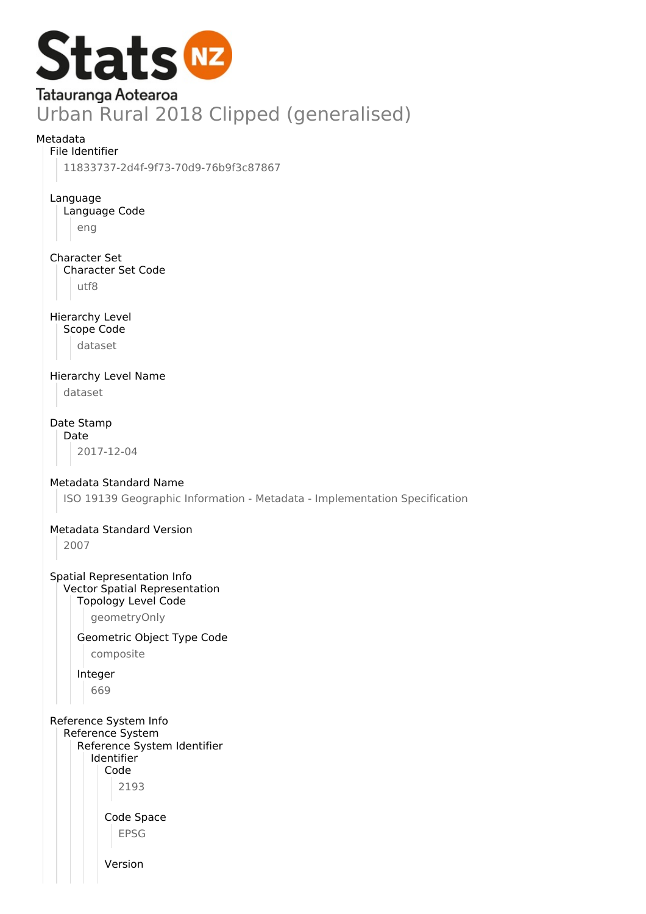

11833737-2d4f-9f73-70d9-76b9f3c87867

Language Language Code eng

Character Set Character Set Code utf8

Hierarchy Level Scope Code dataset

Hierarchy Level Name dataset

Date Stamp Date 2017-12-04

Metadata Standard Name

ISO 19139 Geographic Information - Metadata - Implementation Specification

# Metadata Standard Version

2007

Spatial Representation Info Vector Spatial Representation Topology Level Code

geometryOnly

Geometric Object Type Code

composite

Integer

669

Reference System Info Reference System

Reference System Identifier Identifier Code 2193

> Code Space EPSG

Version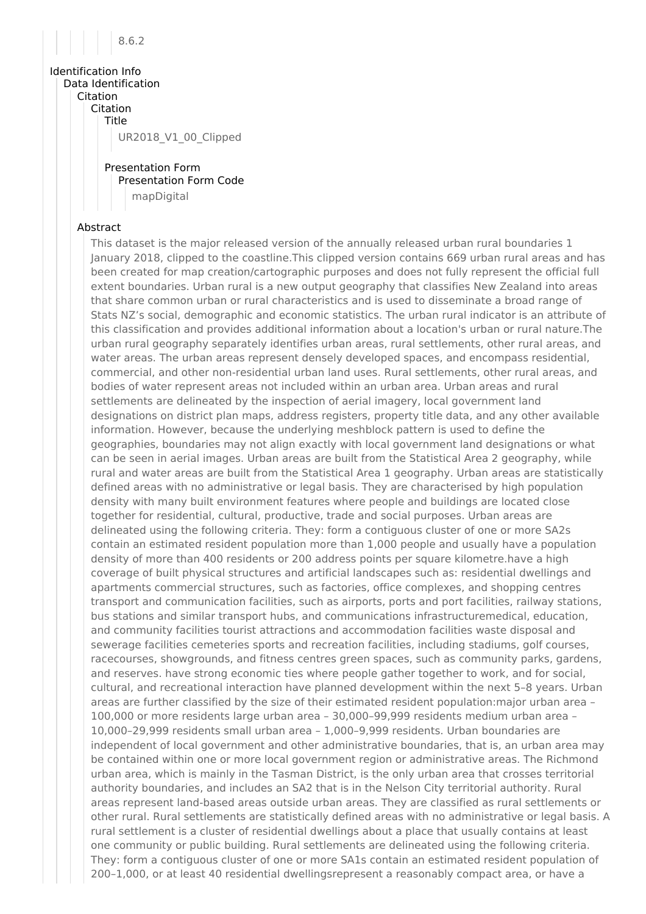

Identification Info Data Identification **Citation** Citation Title UR2018\_V1\_00\_Clipped

> Presentation Form Presentation Form Code mapDigital

## Abstract

This dataset is the major released version of the annually released urban rural boundaries 1 January 2018, clipped to the coastline.This clipped version contains 669 urban rural areas and has been created for map creation/cartographic purposes and does not fully represent the official full extent boundaries. Urban rural is a new output geography that classifies New Zealand into areas that share common urban or rural characteristics and is used to disseminate a broad range of Stats NZ's social, demographic and economic statistics. The urban rural indicator is an attribute of this classification and provides additional information about a location's urban or rural nature.The urban rural geography separately identifies urban areas, rural settlements, other rural areas, and water areas. The urban areas represent densely developed spaces, and encompass residential, commercial, and other non-residential urban land uses. Rural settlements, other rural areas, and bodies of water represent areas not included within an urban area. Urban areas and rural settlements are delineated by the inspection of aerial imagery, local government land designations on district plan maps, address registers, property title data, and any other available information. However, because the underlying meshblock pattern is used to define the geographies, boundaries may not align exactly with local government land designations or what can be seen in aerial images. Urban areas are built from the Statistical Area 2 geography, while rural and water areas are built from the Statistical Area 1 geography. Urban areas are statistically defined areas with no administrative or legal basis. They are characterised by high population density with many built environment features where people and buildings are located close together for residential, cultural, productive, trade and social purposes. Urban areas are delineated using the following criteria. They: form a contiguous cluster of one or more SA2s contain an estimated resident population more than 1,000 people and usually have a population density of more than 400 residents or 200 address points per square kilometre.have a high coverage of built physical structures and artificial landscapes such as: residential dwellings and apartments commercial structures, such as factories, office complexes, and shopping centres transport and communication facilities, such as airports, ports and port facilities, railway stations, bus stations and similar transport hubs, and communications infrastructuremedical, education, and community facilities tourist attractions and accommodation facilities waste disposal and sewerage facilities cemeteries sports and recreation facilities, including stadiums, golf courses, racecourses, showgrounds, and fitness centres green spaces, such as community parks, gardens, and reserves. have strong economic ties where people gather together to work, and for social, cultural, and recreational interaction have planned development within the next 5–8 years. Urban areas are further classified by the size of their estimated resident population:major urban area – 100,000 or more residents large urban area – 30,000–99,999 residents medium urban area – 10,000–29,999 residents small urban area – 1,000–9,999 residents. Urban boundaries are independent of local government and other administrative boundaries, that is, an urban area may be contained within one or more local government region or administrative areas. The Richmond urban area, which is mainly in the Tasman District, is the only urban area that crosses territorial authority boundaries, and includes an SA2 that is in the Nelson City territorial authority. Rural areas represent land-based areas outside urban areas. They are classified as rural settlements or other rural. Rural settlements are statistically defined areas with no administrative or legal basis. A rural settlement is a cluster of residential dwellings about a place that usually contains at least one community or public building. Rural settlements are delineated using the following criteria. They: form a contiguous cluster of one or more SA1s contain an estimated resident population of 200–1,000, or at least 40 residential dwellingsrepresent a reasonably compact area, or have a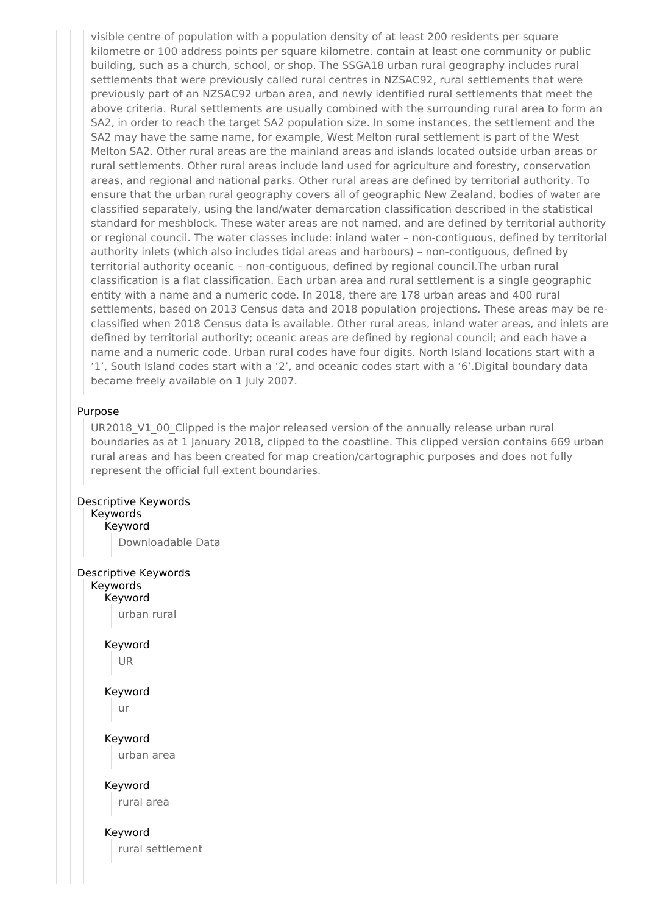visible centre of population with a population density of at least 200 residents per square kilometre or 100 address points per square kilometre. contain at least one community or public building, such as a church, school, or shop. The SSGA18 urban rural geography includes rural settlements that were previously called rural centres in NZSAC92, rural settlements that were previously part of an NZSAC92 urban area, and newly identified rural settlements that meet the above criteria. Rural settlements are usually combined with the surrounding rural area to form an SA2, in order to reach the target SA2 population size. In some instances, the settlement and the SA2 may have the same name, for example, West Melton rural settlement is part of the West Melton SA2. Other rural areas are the mainland areas and islands located outside urban areas or rural settlements. Other rural areas include land used for agriculture and forestry, conservation areas, and regional and national parks. Other rural areas are defined by territorial authority. To ensure that the urban rural geography covers all of geographic New Zealand, bodies of water are classified separately, using the land/water demarcation classification described in the statistical standard for meshblock. These water areas are not named, and are defined by territorial authority or regional council. The water classes include: inland water – non-contiguous, defined by territorial authority inlets (which also includes tidal areas and harbours) – non-contiguous, defined by territorial authority oceanic – non-contiguous, defined by regional council.The urban rural classification is a flat classification. Each urban area and rural settlement is a single geographic entity with a name and a numeric code. In 2018, there are 178 urban areas and 400 rural settlements, based on 2013 Census data and 2018 population projections. These areas may be reclassified when 2018 Census data is available. Other rural areas, inland water areas, and inlets are defined by territorial authority; oceanic areas are defined by regional council; and each have a name and a numeric code. Urban rural codes have four digits. North Island locations start with a '1', South Island codes start with a '2', and oceanic codes start with a '6'.Digital boundary data became freely available on 1 July 2007.

#### Purpose

UR2018 V1 00 Clipped is the major released version of the annually release urban rural boundaries as at 1 January 2018, clipped to the coastline. This clipped version contains 669 urban rural areas and has been created for map creation/cartographic purposes and does not fully represent the official full extent boundaries.

# Descriptive Keywords

#### Keywords Keyword

Downloadable Data

# Descriptive Keywords

Keywords Keyword urban rural

> Keyword UR

Keyword

ur

Keyword urban area

Keyword

rural area

Keyword rural settlement